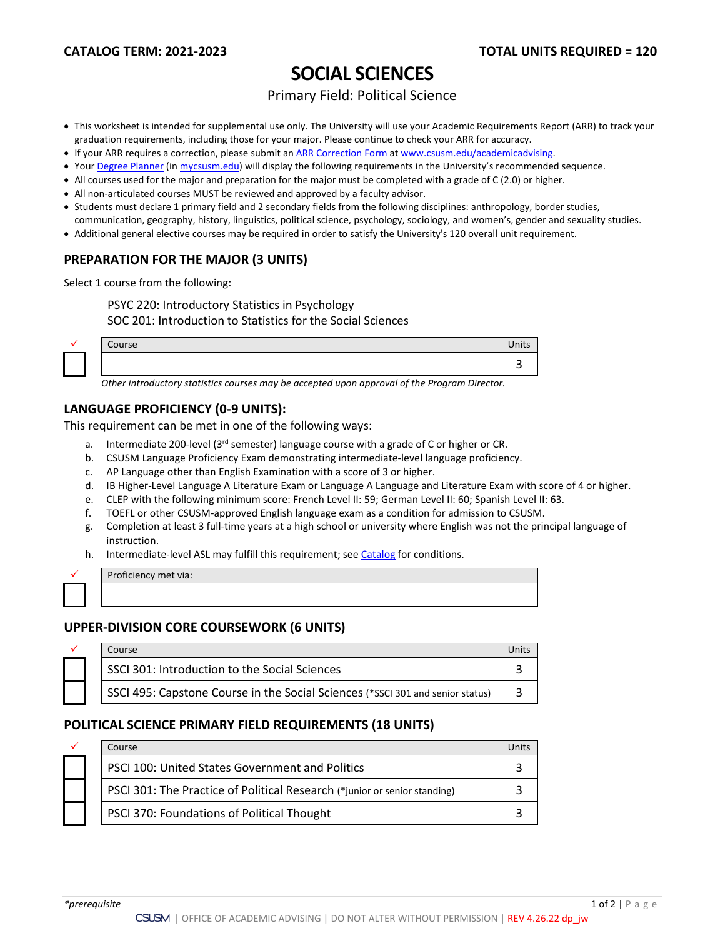# **SOCIAL SCIENCES**

### Primary Field: Political Science

- This worksheet is intended for supplemental use only. The University will use your Academic Requirements Report (ARR) to track your graduation requirements, including those for your major. Please continue to check your ARR for accuracy.
- If your ARR requires a correction, please submit an [ARR Correction Form](http://www.csusm.edu/academicadvising/arrcorrection/index.html) a[t www.csusm.edu/academicadvising.](http://www.csusm.edu/academicadvising)
- You[r Degree Planner](https://www.csusm.edu/academicadvising/degreeplanner/index.html) (i[n mycsusm.edu\)](https://my.csusm.edu/) will display the following requirements in the University's recommended sequence.
- All courses used for the major and preparation for the major must be completed with a grade of C (2.0) or higher.
- All non-articulated courses MUST be reviewed and approved by a faculty advisor.
- Students must declare 1 primary field and 2 secondary fields from the following disciplines: anthropology, border studies,
- communication, geography, history, linguistics, political science, psychology, sociology, and women's, gender and sexuality studies.
- Additional general elective courses may be required in order to satisfy the University's 120 overall unit requirement.

### **PREPARATION FOR THE MAJOR (3 UNITS)**

Select 1 course from the following:

PSYC 220: Introductory Statistics in Psychology

SOC 201: Introduction to Statistics for the Social Sciences

| Course | UIILS |
|--------|-------|
|        |       |

*Other introductory statistics courses may be accepted upon approval of the Program Director.*

### **LANGUAGE PROFICIENCY (0-9 UNITS):**

This requirement can be met in one of the following ways:

- a. Intermediate 200-level (3rd semester) language course with a grade of C or higher or CR.
- b. CSUSM Language Proficiency Exam demonstrating intermediate-level language proficiency.
- c. AP Language other than English Examination with a score of 3 or higher.
- d. IB Higher-Level Language A Literature Exam or Language A Language and Literature Exam with score of 4 or higher.
- e. CLEP with the following minimum score: French Level II: 59; German Level II: 60; Spanish Level II: 63.
- f. TOEFL or other CSUSM-approved English language exam as a condition for admission to CSUSM.
- g. Completion at least 3 full-time years at a high school or university where English was not the principal language of instruction.
- h. Intermediate-level ASL may fulfill this requirement; see [Catalog](http://catalog.csusm.edu/) for conditions.

| Proficiency met via: |
|----------------------|
|                      |

### **UPPER-DIVISION CORE COURSEWORK (6 UNITS)**

| Course |                                                                                |  |
|--------|--------------------------------------------------------------------------------|--|
|        | SSCI 301: Introduction to the Social Sciences                                  |  |
|        | SSCI 495: Capstone Course in the Social Sciences (*SSCI 301 and senior status) |  |

### **POLITICAL SCIENCE PRIMARY FIELD REQUIREMENTS (18 UNITS)**

| ✓ | Course                                                                    | Units |
|---|---------------------------------------------------------------------------|-------|
|   | <b>PSCI 100: United States Government and Politics</b>                    |       |
|   | PSCI 301: The Practice of Political Research (*junior or senior standing) |       |
|   | PSCI 370: Foundations of Political Thought                                |       |